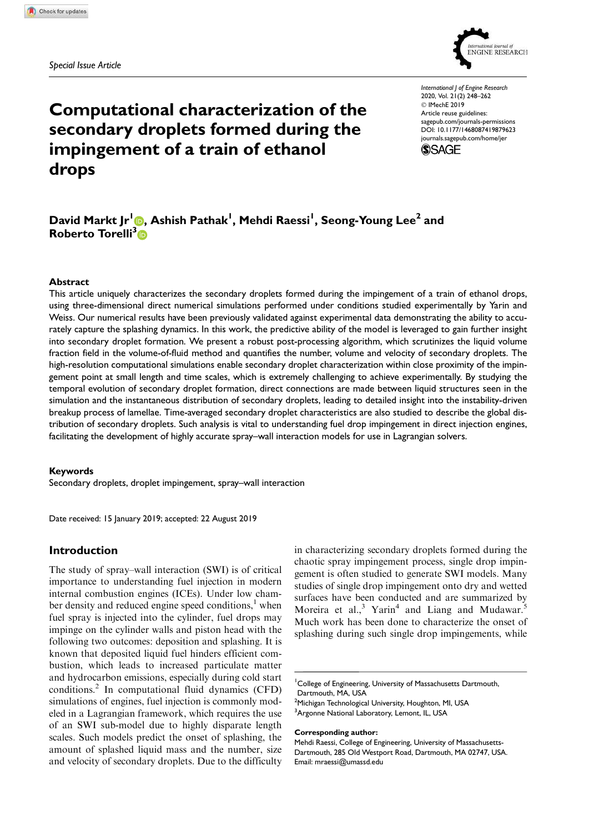*Special Issue Article*



Computational characterization of the secondary droplets formed during the impingement of a train of ethanol drops

*International J of Engine Research* 2020, Vol. 21(2) 248–262 © IMechE 2019 Article reuse guidelines: sagepub.com/journals-permissions DOI: 10.1177/1468087419879623 journals.sagepub.com/home/jer



# David Markt Jr'<mark>O</mark>, Ashish Pathak<sup>I</sup>, Mehdi Raessi<sup>I</sup>, Seong-Young Lee<sup>2</sup> and Roberto Torelli<sup>3</sup>n

#### **Abstract**

This article uniquely characterizes the secondary droplets formed during the impingement of a train of ethanol drops, using three-dimensional direct numerical simulations performed under conditions studied experimentally by Yarin and Weiss. Our numerical results have been previously validated against experimental data demonstrating the ability to accurately capture the splashing dynamics. In this work, the predictive ability of the model is leveraged to gain further insight into secondary droplet formation. We present a robust post-processing algorithm, which scrutinizes the liquid volume fraction field in the volume-of-fluid method and quantifies the number, volume and velocity of secondary droplets. The high-resolution computational simulations enable secondary droplet characterization within close proximity of the impingement point at small length and time scales, which is extremely challenging to achieve experimentally. By studying the temporal evolution of secondary droplet formation, direct connections are made between liquid structures seen in the simulation and the instantaneous distribution of secondary droplets, leading to detailed insight into the instability-driven breakup process of lamellae. Time-averaged secondary droplet characteristics are also studied to describe the global distribution of secondary droplets. Such analysis is vital to understanding fuel drop impingement in direct injection engines, facilitating the development of highly accurate spray–wall interaction models for use in Lagrangian solvers.

#### Keywords

Secondary droplets, droplet impingement, spray–wall interaction

Date received: 15 January 2019; accepted: 22 August 2019

## Introduction

The study of spray–wall interaction (SWI) is of critical importance to understanding fuel injection in modern internal combustion engines (ICEs). Under low chamber density and reduced engine speed conditions, $<sup>1</sup>$  when</sup> fuel spray is injected into the cylinder, fuel drops may impinge on the cylinder walls and piston head with the following two outcomes: deposition and splashing. It is known that deposited liquid fuel hinders efficient combustion, which leads to increased particulate matter and hydrocarbon emissions, especially during cold start conditions.<sup>2</sup> In computational fluid dynamics (CFD) simulations of engines, fuel injection is commonly modeled in a Lagrangian framework, which requires the use of an SWI sub-model due to highly disparate length scales. Such models predict the onset of splashing, the amount of splashed liquid mass and the number, size and velocity of secondary droplets. Due to the difficulty in characterizing secondary droplets formed during the chaotic spray impingement process, single drop impingement is often studied to generate SWI models. Many studies of single drop impingement onto dry and wetted surfaces have been conducted and are summarized by Moreira et al.,<sup>3</sup> Yarin<sup>4</sup> and Liang and Mudawar.<sup>5</sup> Much work has been done to characterize the onset of splashing during such single drop impingements, while

<sup>1</sup>College of Engineering, University of Massachusetts Dartmouth, Dartmouth, MA, USA

<sup>2</sup>Michigan Technological University, Houghton, MI, USA <sup>3</sup>Argonne National Laboratory, Lemont, IL, USA

Corresponding author:

Mehdi Raessi, College of Engineering, University of Massachusetts-Dartmouth, 285 Old Westport Road, Dartmouth, MA 02747, USA. Email: mraessi@umassd.edu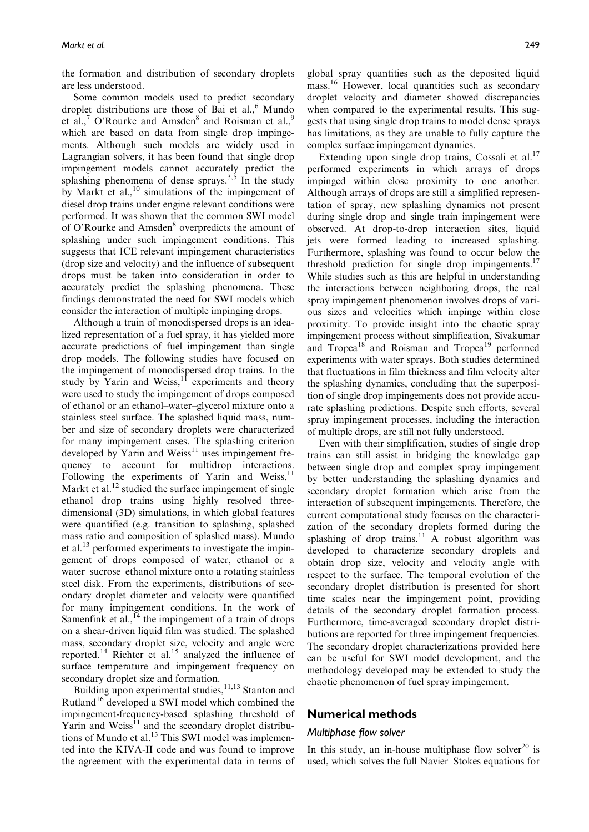the formation and distribution of secondary droplets are less understood.

Some common models used to predict secondary droplet distributions are those of Bai et al., $<sup>6</sup>$  Mundo</sup> et al.,<sup>7</sup> O'Rourke and Amsden<sup>8</sup> and Roisman et al.,<sup>9</sup> which are based on data from single drop impingements. Although such models are widely used in Lagrangian solvers, it has been found that single drop impingement models cannot accurately predict the splashing phenomena of dense sprays. $3.5$  In the study by Markt et al.,<sup>10</sup> simulations of the impingement of diesel drop trains under engine relevant conditions were performed. It was shown that the common SWI model of O'Rourke and Amsden<sup>8</sup> overpredicts the amount of splashing under such impingement conditions. This suggests that ICE relevant impingement characteristics (drop size and velocity) and the influence of subsequent drops must be taken into consideration in order to accurately predict the splashing phenomena. These findings demonstrated the need for SWI models which consider the interaction of multiple impinging drops.

Although a train of monodispersed drops is an idealized representation of a fuel spray, it has yielded more accurate predictions of fuel impingement than single drop models. The following studies have focused on the impingement of monodispersed drop trains. In the study by Yarin and Weiss, $1\overline{1}$  experiments and theory were used to study the impingement of drops composed of ethanol or an ethanol–water–glycerol mixture onto a stainless steel surface. The splashed liquid mass, number and size of secondary droplets were characterized for many impingement cases. The splashing criterion developed by Yarin and Weiss $11$  uses impingement frequency to account for multidrop interactions. Following the experiments of Yarin and Weiss,<sup>11</sup> Markt et al. $^{12}$  studied the surface impingement of single ethanol drop trains using highly resolved threedimensional (3D) simulations, in which global features were quantified (e.g. transition to splashing, splashed mass ratio and composition of splashed mass). Mundo et al.<sup>13</sup> performed experiments to investigate the impingement of drops composed of water, ethanol or a water–sucrose–ethanol mixture onto a rotating stainless steel disk. From the experiments, distributions of secondary droplet diameter and velocity were quantified for many impingement conditions. In the work of Samenfink et al.,  $^{14}$  the impingement of a train of drops on a shear-driven liquid film was studied. The splashed mass, secondary droplet size, velocity and angle were reported.<sup>14</sup> Richter et al.<sup>15</sup> analyzed the influence of surface temperature and impingement frequency on secondary droplet size and formation.

Building upon experimental studies,  $11,13$  Stanton and Rutland<sup>16</sup> developed a SWI model which combined the impingement-frequency-based splashing threshold of  $Y$ arin and Weiss $^{11}$  and the secondary droplet distributions of Mundo et al.<sup>13</sup> This SWI model was implemented into the KIVA-II code and was found to improve the agreement with the experimental data in terms of global spray quantities such as the deposited liquid mass.<sup>16</sup> However, local quantities such as secondary droplet velocity and diameter showed discrepancies when compared to the experimental results. This suggests that using single drop trains to model dense sprays has limitations, as they are unable to fully capture the complex surface impingement dynamics.

Extending upon single drop trains, Cossali et al.<sup>17</sup> performed experiments in which arrays of drops impinged within close proximity to one another. Although arrays of drops are still a simplified representation of spray, new splashing dynamics not present during single drop and single train impingement were observed. At drop-to-drop interaction sites, liquid jets were formed leading to increased splashing. Furthermore, splashing was found to occur below the threshold prediction for single drop impingements.<sup>17</sup> While studies such as this are helpful in understanding the interactions between neighboring drops, the real spray impingement phenomenon involves drops of various sizes and velocities which impinge within close proximity. To provide insight into the chaotic spray impingement process without simplification, Sivakumar and Tropea<sup>18</sup> and Roisman and Tropea<sup>19</sup> performed experiments with water sprays. Both studies determined that fluctuations in film thickness and film velocity alter the splashing dynamics, concluding that the superposition of single drop impingements does not provide accurate splashing predictions. Despite such efforts, several spray impingement processes, including the interaction of multiple drops, are still not fully understood.

Even with their simplification, studies of single drop trains can still assist in bridging the knowledge gap between single drop and complex spray impingement by better understanding the splashing dynamics and secondary droplet formation which arise from the interaction of subsequent impingements. Therefore, the current computational study focuses on the characterization of the secondary droplets formed during the splashing of drop trains.<sup>11</sup> A robust algorithm was developed to characterize secondary droplets and obtain drop size, velocity and velocity angle with respect to the surface. The temporal evolution of the secondary droplet distribution is presented for short time scales near the impingement point, providing details of the secondary droplet formation process. Furthermore, time-averaged secondary droplet distributions are reported for three impingement frequencies. The secondary droplet characterizations provided here can be useful for SWI model development, and the methodology developed may be extended to study the chaotic phenomenon of fuel spray impingement.

## Numerical methods

#### *Multiphase flow solver*

In this study, an in-house multiphase flow solver<sup>20</sup> is used, which solves the full Navier–Stokes equations for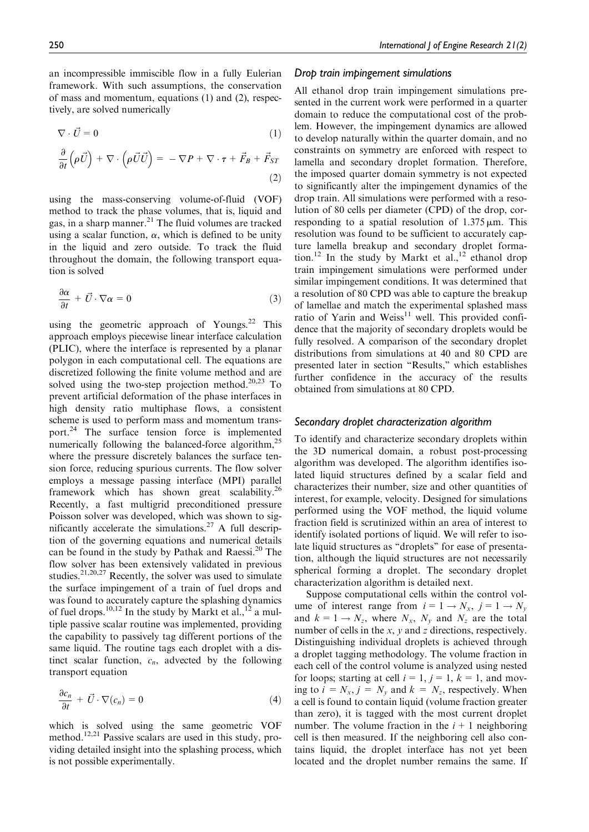an incompressible immiscible flow in a fully Eulerian framework. With such assumptions, the conservation of mass and momentum, equations (1) and (2), respectively, are solved numerically

$$
\nabla \cdot \vec{U} = 0 \tag{1}
$$

$$
\frac{\partial}{\partial t} \left( \rho \vec{U} \right) + \nabla \cdot \left( \rho \vec{U} \vec{U} \right) = - \nabla P + \nabla \cdot \tau + \vec{F}_B + \vec{F}_{ST} \tag{2}
$$

using the mass-conserving volume-of-fluid (VOF) method to track the phase volumes, that is, liquid and gas, in a sharp manner.<sup>21</sup> The fluid volumes are tracked using a scalar function,  $\alpha$ , which is defined to be unity in the liquid and zero outside. To track the fluid throughout the domain, the following transport equation is solved

$$
\frac{\partial \alpha}{\partial t} + \vec{U} \cdot \nabla \alpha = 0 \tag{3}
$$

using the geometric approach of Youngs.<sup>22</sup> This approach employs piecewise linear interface calculation (PLIC), where the interface is represented by a planar polygon in each computational cell. The equations are discretized following the finite volume method and are solved using the two-step projection method. $20,23$  To prevent artificial deformation of the phase interfaces in high density ratio multiphase flows, a consistent scheme is used to perform mass and momentum transport.<sup>24</sup> The surface tension force is implemented numerically following the balanced-force algorithm, $^{25}$ where the pressure discretely balances the surface tension force, reducing spurious currents. The flow solver employs a message passing interface (MPI) parallel framework which has shown great scalability.<sup>26</sup> Recently, a fast multigrid preconditioned pressure Poisson solver was developed, which was shown to significantly accelerate the simulations.<sup>27</sup> A full description of the governing equations and numerical details can be found in the study by Pathak and Raessi.<sup>20</sup> The flow solver has been extensively validated in previous studies.<sup>21,20,27</sup> Recently, the solver was used to simulate the surface impingement of a train of fuel drops and was found to accurately capture the splashing dynamics of fuel drops.<sup>10,12</sup> In the study by Markt et al.,<sup>12</sup> a multiple passive scalar routine was implemented, providing the capability to passively tag different portions of the same liquid. The routine tags each droplet with a distinct scalar function,  $c_n$ , advected by the following transport equation

$$
\frac{\partial c_n}{\partial t} + \vec{U} \cdot \nabla(c_n) = 0 \tag{4}
$$

which is solved using the same geometric VOF method.<sup>12,21</sup> Passive scalars are used in this study, providing detailed insight into the splashing process, which is not possible experimentally.

#### *Drop train impingement simulations*

All ethanol drop train impingement simulations presented in the current work were performed in a quarter domain to reduce the computational cost of the problem. However, the impingement dynamics are allowed to develop naturally within the quarter domain, and no constraints on symmetry are enforced with respect to lamella and secondary droplet formation. Therefore, the imposed quarter domain symmetry is not expected to significantly alter the impingement dynamics of the drop train. All simulations were performed with a resolution of 80 cells per diameter (CPD) of the drop, corresponding to a spatial resolution of  $1.375 \,\mu\text{m}$ . This resolution was found to be sufficient to accurately capture lamella breakup and secondary droplet formation.<sup>12</sup> In the study by Markt et al.,<sup>12</sup> ethanol drop train impingement simulations were performed under similar impingement conditions. It was determined that a resolution of 80 CPD was able to capture the breakup of lamellae and match the experimental splashed mass ratio of Yarin and Weiss $^{11}$  well. This provided confidence that the majority of secondary droplets would be fully resolved. A comparison of the secondary droplet distributions from simulations at 40 and 80 CPD are presented later in section ''Results,'' which establishes further confidence in the accuracy of the results obtained from simulations at 80 CPD.

#### *Secondary droplet characterization algorithm*

To identify and characterize secondary droplets within the 3D numerical domain, a robust post-processing algorithm was developed. The algorithm identifies isolated liquid structures defined by a scalar field and characterizes their number, size and other quantities of interest, for example, velocity. Designed for simulations performed using the VOF method, the liquid volume fraction field is scrutinized within an area of interest to identify isolated portions of liquid. We will refer to isolate liquid structures as ''droplets'' for ease of presentation, although the liquid structures are not necessarily spherical forming a droplet. The secondary droplet characterization algorithm is detailed next.

Suppose computational cells within the control volume of interest range from  $i = 1 \rightarrow N_x$ ,  $j = 1 \rightarrow N_y$ and  $k = 1 \rightarrow N_z$ , where  $N_x$ ,  $N_y$  and  $N_z$  are the total number of cells in the  $x$ ,  $y$  and  $z$  directions, respectively. Distinguishing individual droplets is achieved through a droplet tagging methodology. The volume fraction in each cell of the control volume is analyzed using nested for loops; starting at cell  $i = 1$ ,  $j = 1$ ,  $k = 1$ , and moving to  $i = N_x$ ,  $j = N_y$  and  $k = N_z$ , respectively. When a cell is found to contain liquid (volume fraction greater than zero), it is tagged with the most current droplet number. The volume fraction in the  $i + 1$  neighboring cell is then measured. If the neighboring cell also contains liquid, the droplet interface has not yet been located and the droplet number remains the same. If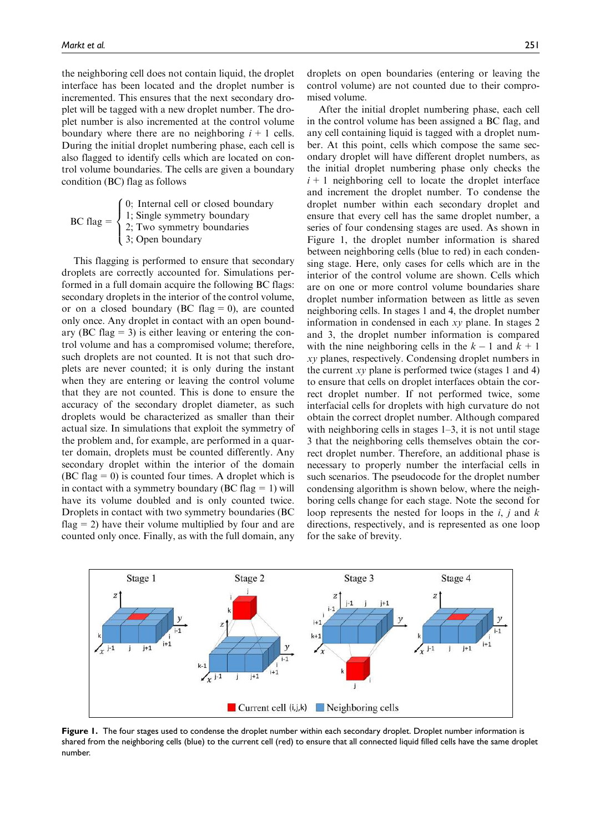the neighboring cell does not contain liquid, the droplet interface has been located and the droplet number is incremented. This ensures that the next secondary droplet will be tagged with a new droplet number. The droplet number is also incremented at the control volume boundary where there are no neighboring  $i + 1$  cells. During the initial droplet numbering phase, each cell is also flagged to identify cells which are located on control volume boundaries. The cells are given a boundary condition (BC) flag as follows

|  | (0; Internal cell or closed boundary                                                                          |
|--|---------------------------------------------------------------------------------------------------------------|
|  | BC flag = $\begin{cases} 1; \text{Single symmetry boundary} \\ 2; \text{Two symmetry boundaries} \end{cases}$ |
|  |                                                                                                               |
|  | $\frac{1}{2}$ ; Open boundary                                                                                 |

This flagging is performed to ensure that secondary droplets are correctly accounted for. Simulations performed in a full domain acquire the following BC flags: secondary droplets in the interior of the control volume, or on a closed boundary (BC flag  $= 0$ ), are counted only once. Any droplet in contact with an open boundary (BC flag  $= 3$ ) is either leaving or entering the control volume and has a compromised volume; therefore, such droplets are not counted. It is not that such droplets are never counted; it is only during the instant when they are entering or leaving the control volume that they are not counted. This is done to ensure the accuracy of the secondary droplet diameter, as such droplets would be characterized as smaller than their actual size. In simulations that exploit the symmetry of the problem and, for example, are performed in a quarter domain, droplets must be counted differently. Any secondary droplet within the interior of the domain  $(BC flag = 0)$  is counted four times. A droplet which is in contact with a symmetry boundary (BC flag  $= 1$ ) will have its volume doubled and is only counted twice. Droplets in contact with two symmetry boundaries (BC flag  $= 2$ ) have their volume multiplied by four and are counted only once. Finally, as with the full domain, any droplets on open boundaries (entering or leaving the control volume) are not counted due to their compromised volume.

After the initial droplet numbering phase, each cell in the control volume has been assigned a BC flag, and any cell containing liquid is tagged with a droplet number. At this point, cells which compose the same secondary droplet will have different droplet numbers, as the initial droplet numbering phase only checks the  $i+1$  neighboring cell to locate the droplet interface and increment the droplet number. To condense the droplet number within each secondary droplet and ensure that every cell has the same droplet number, a series of four condensing stages are used. As shown in Figure 1, the droplet number information is shared between neighboring cells (blue to red) in each condensing stage. Here, only cases for cells which are in the interior of the control volume are shown. Cells which are on one or more control volume boundaries share droplet number information between as little as seven neighboring cells. In stages 1 and 4, the droplet number information in condensed in each xy plane. In stages 2 and 3, the droplet number information is compared with the nine neighboring cells in the  $k - 1$  and  $k + 1$ xy planes, respectively. Condensing droplet numbers in the current  $xy$  plane is performed twice (stages 1 and 4) to ensure that cells on droplet interfaces obtain the correct droplet number. If not performed twice, some interfacial cells for droplets with high curvature do not obtain the correct droplet number. Although compared with neighboring cells in stages 1–3, it is not until stage 3 that the neighboring cells themselves obtain the correct droplet number. Therefore, an additional phase is necessary to properly number the interfacial cells in such scenarios. The pseudocode for the droplet number condensing algorithm is shown below, where the neighboring cells change for each stage. Note the second for loop represents the nested for loops in the  $i$ , j and  $k$ directions, respectively, and is represented as one loop for the sake of brevity.



Figure 1. The four stages used to condense the droplet number within each secondary droplet. Droplet number information is shared from the neighboring cells (blue) to the current cell (red) to ensure that all connected liquid filled cells have the same droplet number.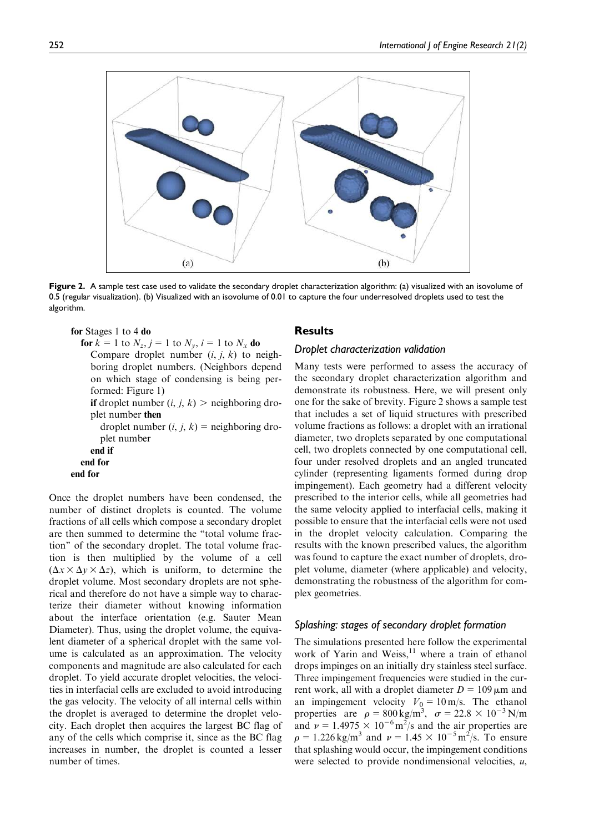

Figure 2. A sample test case used to validate the secondary droplet characterization algorithm: (a) visualized with an isovolume of 0.5 (regular visualization). (b) Visualized with an isovolume of 0.01 to capture the four underresolved droplets used to test the algorithm.

```
for Stages 1 to 4 do
```
**for**  $k = 1$  to  $N_z$ ,  $j = 1$  to  $N_y$ ,  $i = 1$  to  $N_x$  **do** Compare droplet number  $(i, j, k)$  to neighboring droplet numbers. (Neighbors depend on which stage of condensing is being performed: Figure 1) if droplet number  $(i, j, k)$  > neighboring droplet number then droplet number  $(i, j, k)$  = neighboring droplet number end if

```
end for
end for
```
Once the droplet numbers have been condensed, the number of distinct droplets is counted. The volume fractions of all cells which compose a secondary droplet are then summed to determine the ''total volume fraction'' of the secondary droplet. The total volume fraction is then multiplied by the volume of a cell  $(\Delta x \times \Delta y \times \Delta z)$ , which is uniform, to determine the droplet volume. Most secondary droplets are not spherical and therefore do not have a simple way to characterize their diameter without knowing information about the interface orientation (e.g. Sauter Mean Diameter). Thus, using the droplet volume, the equivalent diameter of a spherical droplet with the same volume is calculated as an approximation. The velocity components and magnitude are also calculated for each droplet. To yield accurate droplet velocities, the velocities in interfacial cells are excluded to avoid introducing the gas velocity. The velocity of all internal cells within the droplet is averaged to determine the droplet velocity. Each droplet then acquires the largest BC flag of any of the cells which comprise it, since as the BC flag increases in number, the droplet is counted a lesser number of times.

## **Results**

## *Droplet characterization validation*

Many tests were performed to assess the accuracy of the secondary droplet characterization algorithm and demonstrate its robustness. Here, we will present only one for the sake of brevity. Figure 2 shows a sample test that includes a set of liquid structures with prescribed volume fractions as follows: a droplet with an irrational diameter, two droplets separated by one computational cell, two droplets connected by one computational cell, four under resolved droplets and an angled truncated cylinder (representing ligaments formed during drop impingement). Each geometry had a different velocity prescribed to the interior cells, while all geometries had the same velocity applied to interfacial cells, making it possible to ensure that the interfacial cells were not used in the droplet velocity calculation. Comparing the results with the known prescribed values, the algorithm was found to capture the exact number of droplets, droplet volume, diameter (where applicable) and velocity, demonstrating the robustness of the algorithm for complex geometries.

## *Splashing: stages of secondary droplet formation*

The simulations presented here follow the experimental work of Yarin and Weiss, $11$  where a train of ethanol drops impinges on an initially dry stainless steel surface. Three impingement frequencies were studied in the current work, all with a droplet diameter  $D = 109 \,\mu m$  and an impingement velocity  $V_0 = 10 \text{ m/s}$ . The ethanol properties are  $\rho = 800 \text{ kg/m}^3$ ,  $\sigma = 22.8 \times 10^{-3} \text{ N/m}$ and  $\nu = 1.4975 \times 10^{-6} \text{ m}^2/\text{s}$  and the air properties are  $\rho = 1.226 \text{ kg/m}^3$  and  $\nu = 1.45 \times 10^{-5} \text{ m}^2/\text{s}$ . To ensure that splashing would occur, the impingement conditions were selected to provide nondimensional velocities,  $u$ ,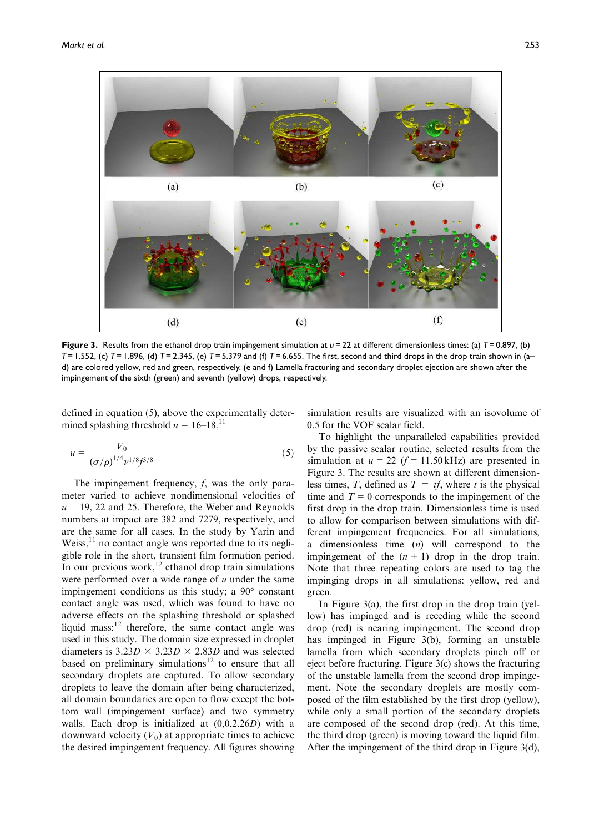

Figure 3. Results from the ethanol drop train impingement simulation at  $u = 22$  at different dimensionless times: (a)  $T = 0.897$ , (b) *T* = 1.552, (c) *T* = 1.896, (d) *T* = 2.345, (e) *T* = 5.379 and (f) *T* = 6.655. The first, second and third drops in the drop train shown in (a– d) are colored yellow, red and green, respectively. (e and f) Lamella fracturing and secondary droplet ejection are shown after the impingement of the sixth (green) and seventh (yellow) drops, respectively.

defined in equation (5), above the experimentally determined splashing threshold  $u = 16-18$ .<sup>11</sup>

$$
u = \frac{V_0}{\left(\sigma/\rho\right)^{1/4} \nu^{1/8} f^{3/8}}\tag{5}
$$

The impingement frequency, f, was the only parameter varied to achieve nondimensional velocities of  $u = 19$ , 22 and 25. Therefore, the Weber and Reynolds numbers at impact are 382 and 7279, respectively, and are the same for all cases. In the study by Yarin and Weiss, $11$  no contact angle was reported due to its negligible role in the short, transient film formation period. In our previous work,<sup>12</sup> ethanol drop train simulations were performed over a wide range of  $u$  under the same impingement conditions as this study; a 90° constant contact angle was used, which was found to have no adverse effects on the splashing threshold or splashed liquid mass; $^{12}$  therefore, the same contact angle was used in this study. The domain size expressed in droplet diameters is  $3.23D \times 3.23D \times 2.83D$  and was selected based on preliminary simulations<sup>12</sup> to ensure that all secondary droplets are captured. To allow secondary droplets to leave the domain after being characterized, all domain boundaries are open to flow except the bottom wall (impingement surface) and two symmetry walls. Each drop is initialized at (0,0,2.26D) with a downward velocity  $(V_0)$  at appropriate times to achieve the desired impingement frequency. All figures showing simulation results are visualized with an isovolume of 0.5 for the VOF scalar field.

To highlight the unparalleled capabilities provided by the passive scalar routine, selected results from the simulation at  $u = 22$  ( $f = 11.50$  kHz) are presented in Figure 3. The results are shown at different dimensionless times, T, defined as  $T = tf$ , where t is the physical time and  $T=0$  corresponds to the impingement of the first drop in the drop train. Dimensionless time is used to allow for comparison between simulations with different impingement frequencies. For all simulations, a dimensionless time (n) will correspond to the impingement of the  $(n + 1)$  drop in the drop train. Note that three repeating colors are used to tag the impinging drops in all simulations: yellow, red and green.

In Figure 3(a), the first drop in the drop train (yellow) has impinged and is receding while the second drop (red) is nearing impingement. The second drop has impinged in Figure 3(b), forming an unstable lamella from which secondary droplets pinch off or eject before fracturing. Figure 3(c) shows the fracturing of the unstable lamella from the second drop impingement. Note the secondary droplets are mostly composed of the film established by the first drop (yellow), while only a small portion of the secondary droplets are composed of the second drop (red). At this time, the third drop (green) is moving toward the liquid film. After the impingement of the third drop in Figure 3(d),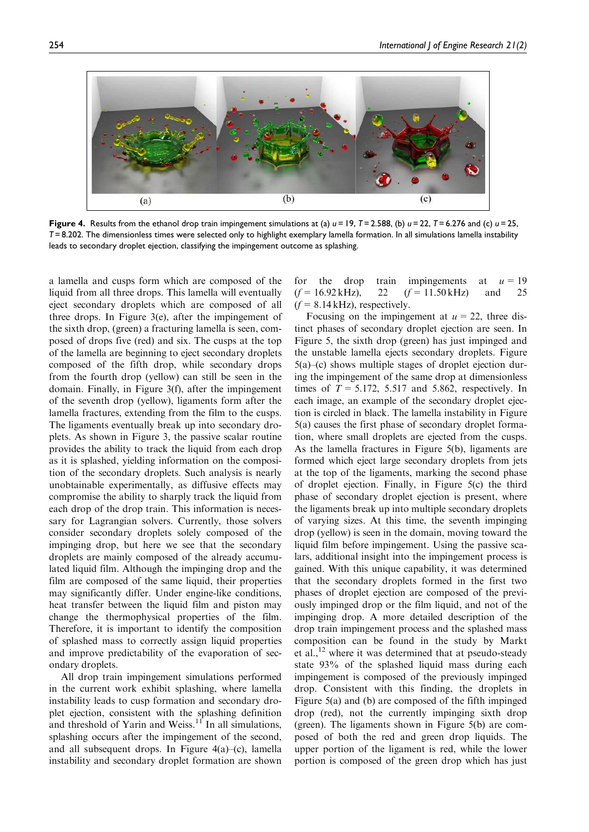

Figure 4. Results from the ethanol drop train impingement simulations at (a) *u* = 19, *T* = 2.588, (b) *u* = 22, *T* = 6.276 and (c) *u* = 25, *T* = 8.202. The dimensionless times were selected only to highlight exemplary lamella formation. In all simulations lamella instability leads to secondary droplet ejection, classifying the impingement outcome as splashing.

a lamella and cusps form which are composed of the liquid from all three drops. This lamella will eventually eject secondary droplets which are composed of all three drops. In Figure 3(e), after the impingement of the sixth drop, (green) a fracturing lamella is seen, composed of drops five (red) and six. The cusps at the top of the lamella are beginning to eject secondary droplets composed of the fifth drop, while secondary drops from the fourth drop (yellow) can still be seen in the domain. Finally, in Figure 3(f), after the impingement of the seventh drop (yellow), ligaments form after the lamella fractures, extending from the film to the cusps. The ligaments eventually break up into secondary droplets. As shown in Figure 3, the passive scalar routine provides the ability to track the liquid from each drop as it is splashed, yielding information on the composition of the secondary droplets. Such analysis is nearly unobtainable experimentally, as diffusive effects may compromise the ability to sharply track the liquid from each drop of the drop train. This information is necessary for Lagrangian solvers. Currently, those solvers consider secondary droplets solely composed of the impinging drop, but here we see that the secondary droplets are mainly composed of the already accumulated liquid film. Although the impinging drop and the film are composed of the same liquid, their properties may significantly differ. Under engine-like conditions, heat transfer between the liquid film and piston may change the thermophysical properties of the film. Therefore, it is important to identify the composition of splashed mass to correctly assign liquid properties and improve predictability of the evaporation of secondary droplets.

All drop train impingement simulations performed in the current work exhibit splashing, where lamella instability leads to cusp formation and secondary droplet ejection, consistent with the splashing definition and threshold of Yarin and Weiss.<sup>11</sup> In all simulations, splashing occurs after the impingement of the second, and all subsequent drops. In Figure 4(a)–(c), lamella instability and secondary droplet formation are shown for the drop train impingements at  $u=19$  $(f= 16.92 \text{ kHz})$ , 22  $(f= 11.50 \text{ kHz})$  and 25  $(f= 8.14 \text{ kHz})$ , respectively.

Focusing on the impingement at  $u = 22$ , three distinct phases of secondary droplet ejection are seen. In Figure 5, the sixth drop (green) has just impinged and the unstable lamella ejects secondary droplets. Figure 5(a)–(c) shows multiple stages of droplet ejection during the impingement of the same drop at dimensionless times of  $T = 5.172$ , 5.517 and 5.862, respectively. In each image, an example of the secondary droplet ejection is circled in black. The lamella instability in Figure 5(a) causes the first phase of secondary droplet formation, where small droplets are ejected from the cusps. As the lamella fractures in Figure 5(b), ligaments are formed which eject large secondary droplets from jets at the top of the ligaments, marking the second phase of droplet ejection. Finally, in Figure 5(c) the third phase of secondary droplet ejection is present, where the ligaments break up into multiple secondary droplets of varying sizes. At this time, the seventh impinging drop (yellow) is seen in the domain, moving toward the liquid film before impingement. Using the passive scalars, additional insight into the impingement process is gained. With this unique capability, it was determined that the secondary droplets formed in the first two phases of droplet ejection are composed of the previously impinged drop or the film liquid, and not of the impinging drop. A more detailed description of the drop train impingement process and the splashed mass composition can be found in the study by Markt et al., $^{12}$  where it was determined that at pseudo-steady state 93% of the splashed liquid mass during each impingement is composed of the previously impinged drop. Consistent with this finding, the droplets in Figure 5(a) and (b) are composed of the fifth impinged drop (red), not the currently impinging sixth drop (green). The ligaments shown in Figure 5(b) are composed of both the red and green drop liquids. The upper portion of the ligament is red, while the lower portion is composed of the green drop which has just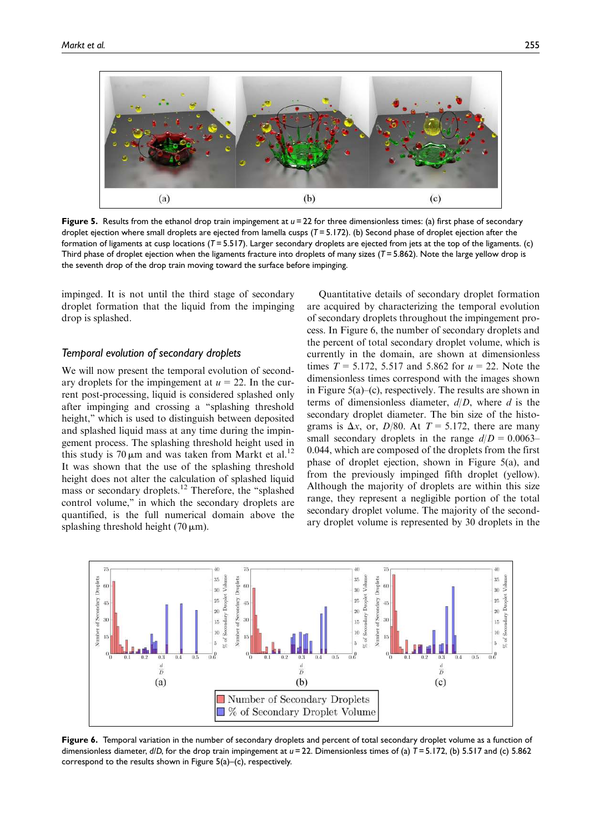

Figure 5. Results from the ethanol drop train impingement at  $u = 22$  for three dimensionless times: (a) first phase of secondary droplet ejection where small droplets are ejected from lamella cusps (T=5.172). (b) Second phase of droplet ejection after the formation of ligaments at cusp locations (*T* = 5.517). Larger secondary droplets are ejected from jets at the top of the ligaments. (c) Third phase of droplet ejection when the ligaments fracture into droplets of many sizes (*T* = 5.862). Note the large yellow drop is the seventh drop of the drop train moving toward the surface before impinging.

impinged. It is not until the third stage of secondary droplet formation that the liquid from the impinging drop is splashed.

## *Temporal evolution of secondary droplets*

We will now present the temporal evolution of secondary droplets for the impingement at  $u = 22$ . In the current post-processing, liquid is considered splashed only after impinging and crossing a ''splashing threshold height," which is used to distinguish between deposited and splashed liquid mass at any time during the impingement process. The splashing threshold height used in this study is 70  $\mu$ m and was taken from Markt et al.<sup>12</sup> It was shown that the use of the splashing threshold height does not alter the calculation of splashed liquid mass or secondary droplets.<sup>12</sup> Therefore, the ''splashed control volume," in which the secondary droplets are quantified, is the full numerical domain above the splashing threshold height  $(70 \,\mathrm{\upmu m})$ .

Quantitative details of secondary droplet formation are acquired by characterizing the temporal evolution of secondary droplets throughout the impingement process. In Figure 6, the number of secondary droplets and the percent of total secondary droplet volume, which is currently in the domain, are shown at dimensionless times  $T = 5.172$ , 5.517 and 5.862 for  $u = 22$ . Note the dimensionless times correspond with the images shown in Figure 5(a)–(c), respectively. The results are shown in terms of dimensionless diameter,  $d/D$ , where d is the secondary droplet diameter. The bin size of the histograms is  $\Delta x$ , or, D/80. At T = 5.172, there are many small secondary droplets in the range  $d/D = 0.0063$ – 0.044, which are composed of the droplets from the first phase of droplet ejection, shown in Figure 5(a), and from the previously impinged fifth droplet (yellow). Although the majority of droplets are within this size range, they represent a negligible portion of the total secondary droplet volume. The majority of the secondary droplet volume is represented by 30 droplets in the



Figure 6. Temporal variation in the number of secondary droplets and percent of total secondary droplet volume as a function of dimensionless diameter, *d*/*D*, for the drop train impingement at *u* = 22. Dimensionless times of (a) *T* = 5.172, (b) 5.517 and (c) 5.862 correspond to the results shown in Figure 5(a)–(c), respectively.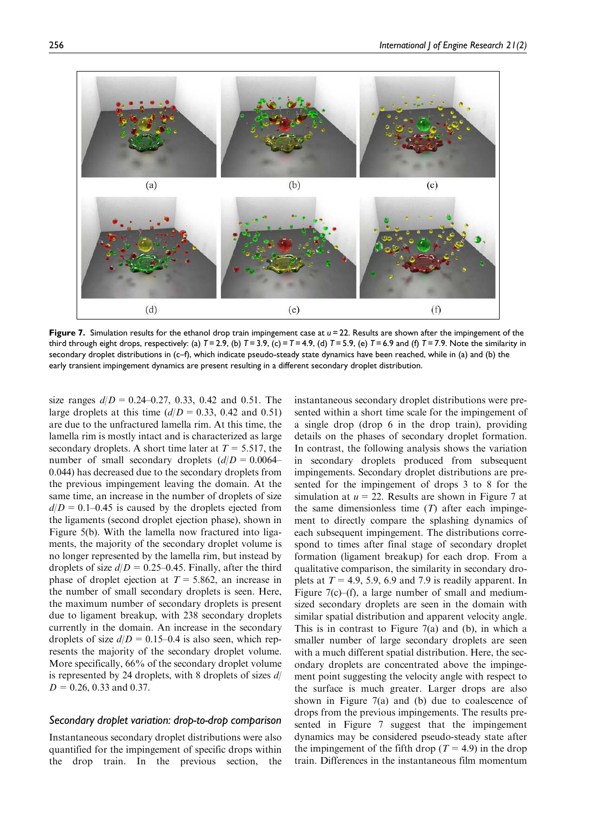$(b)$  $(a)$  $(c)$  $(d)$  $(e)$  $(f)$ 

Figure 7. Simulation results for the ethanol drop train impingement case at *u* = 22. Results are shown after the impingement of the third through eight drops, respectively: (a)  $T = 2.9$ , (b)  $T = 3.9$ , (c)  $T = 4.9$ , (d)  $T = 5.9$ , (e)  $T = 6.9$  and (f)  $T = 7.9$ . Note the similarity in secondary droplet distributions in (c–f), which indicate pseudo-steady state dynamics have been reached, while in (a) and (b) the early transient impingement dynamics are present resulting in a different secondary droplet distribution.

size ranges  $d/D = 0.24-0.27, 0.33, 0.42$  and 0.51. The large droplets at this time  $(d/D = 0.33, 0.42 \text{ and } 0.51)$ are due to the unfractured lamella rim. At this time, the lamella rim is mostly intact and is characterized as large secondary droplets. A short time later at  $T = 5.517$ , the number of small secondary droplets  $(d/D = 0.0064-$ 0.044) has decreased due to the secondary droplets from the previous impingement leaving the domain. At the same time, an increase in the number of droplets of size  $d/D = 0.1-0.45$  is caused by the droplets ejected from the ligaments (second droplet ejection phase), shown in Figure 5(b). With the lamella now fractured into ligaments, the majority of the secondary droplet volume is no longer represented by the lamella rim, but instead by droplets of size  $d/D = 0.25-0.45$ . Finally, after the third phase of droplet ejection at  $T = 5.862$ , an increase in the number of small secondary droplets is seen. Here, the maximum number of secondary droplets is present due to ligament breakup, with 238 secondary droplets currently in the domain. An increase in the secondary droplets of size  $d/D = 0.15$ –0.4 is also seen, which represents the majority of the secondary droplet volume. More specifically, 66% of the secondary droplet volume is represented by 24 droplets, with 8 droplets of sizes  $d/$  $D = 0.26$ , 0.33 and 0.37.

## *Secondary droplet variation: drop-to-drop comparison*

Instantaneous secondary droplet distributions were also quantified for the impingement of specific drops within the drop train. In the previous section, the instantaneous secondary droplet distributions were presented within a short time scale for the impingement of a single drop (drop 6 in the drop train), providing details on the phases of secondary droplet formation. In contrast, the following analysis shows the variation in secondary droplets produced from subsequent impingements. Secondary droplet distributions are presented for the impingement of drops 3 to 8 for the simulation at  $u = 22$ . Results are shown in Figure 7 at the same dimensionless time  $(T)$  after each impingement to directly compare the splashing dynamics of each subsequent impingement. The distributions correspond to times after final stage of secondary droplet formation (ligament breakup) for each drop. From a qualitative comparison, the similarity in secondary droplets at  $T = 4.9, 5.9, 6.9$  and 7.9 is readily apparent. In Figure 7(c)–(f), a large number of small and mediumsized secondary droplets are seen in the domain with similar spatial distribution and apparent velocity angle. This is in contrast to Figure 7(a) and (b), in which a smaller number of large secondary droplets are seen with a much different spatial distribution. Here, the secondary droplets are concentrated above the impingement point suggesting the velocity angle with respect to the surface is much greater. Larger drops are also shown in Figure 7(a) and (b) due to coalescence of drops from the previous impingements. The results presented in Figure 7 suggest that the impingement dynamics may be considered pseudo-steady state after the impingement of the fifth drop ( $T = 4.9$ ) in the drop train. Differences in the instantaneous film momentum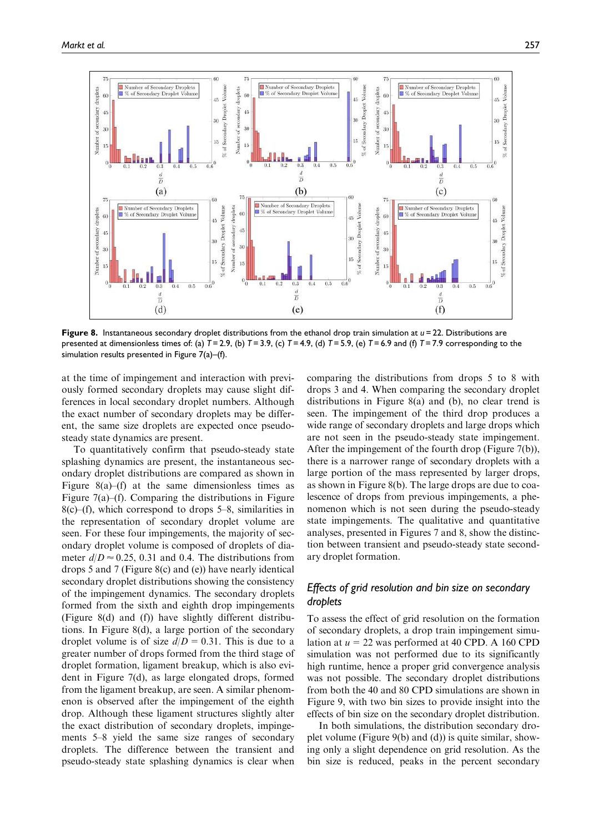

Figure 8. Instantaneous secondary droplet distributions from the ethanol drop train simulation at  $u = 22$ . Distributions are presented at dimensionless times of: (a) *T* = 2.9, (b) *T* = 3.9, (c) *T* = 4.9, (d) *T* = 5.9, (e) *T* = 6.9 and (f) *T* = 7.9 corresponding to the simulation results presented in Figure 7(a)–(f).

at the time of impingement and interaction with previously formed secondary droplets may cause slight differences in local secondary droplet numbers. Although the exact number of secondary droplets may be different, the same size droplets are expected once pseudosteady state dynamics are present.

To quantitatively confirm that pseudo-steady state splashing dynamics are present, the instantaneous secondary droplet distributions are compared as shown in Figure 8(a)–(f) at the same dimensionless times as Figure  $7(a)$ –(f). Comparing the distributions in Figure  $8(c)$ –(f), which correspond to drops 5–8, similarities in the representation of secondary droplet volume are seen. For these four impingements, the majority of secondary droplet volume is composed of droplets of diameter  $d/D \approx 0.25$ , 0.31 and 0.4. The distributions from drops 5 and 7 (Figure 8(c) and (e)) have nearly identical secondary droplet distributions showing the consistency of the impingement dynamics. The secondary droplets formed from the sixth and eighth drop impingements (Figure 8(d) and (f)) have slightly different distributions. In Figure 8(d), a large portion of the secondary droplet volume is of size  $d/D = 0.31$ . This is due to a greater number of drops formed from the third stage of droplet formation, ligament breakup, which is also evident in Figure 7(d), as large elongated drops, formed from the ligament breakup, are seen. A similar phenomenon is observed after the impingement of the eighth drop. Although these ligament structures slightly alter the exact distribution of secondary droplets, impingements 5–8 yield the same size ranges of secondary droplets. The difference between the transient and pseudo-steady state splashing dynamics is clear when comparing the distributions from drops 5 to 8 with drops 3 and 4. When comparing the secondary droplet distributions in Figure 8(a) and (b), no clear trend is seen. The impingement of the third drop produces a wide range of secondary droplets and large drops which are not seen in the pseudo-steady state impingement. After the impingement of the fourth drop (Figure 7(b)), there is a narrower range of secondary droplets with a large portion of the mass represented by larger drops, as shown in Figure 8(b). The large drops are due to coalescence of drops from previous impingements, a phenomenon which is not seen during the pseudo-steady state impingements. The qualitative and quantitative analyses, presented in Figures 7 and 8, show the distinction between transient and pseudo-steady state secondary droplet formation.

# *Effects of grid resolution and bin size on secondary droplets*

To assess the effect of grid resolution on the formation of secondary droplets, a drop train impingement simulation at  $u = 22$  was performed at 40 CPD. A 160 CPD simulation was not performed due to its significantly high runtime, hence a proper grid convergence analysis was not possible. The secondary droplet distributions from both the 40 and 80 CPD simulations are shown in Figure 9, with two bin sizes to provide insight into the effects of bin size on the secondary droplet distribution.

In both simulations, the distribution secondary droplet volume (Figure 9(b) and (d)) is quite similar, showing only a slight dependence on grid resolution. As the bin size is reduced, peaks in the percent secondary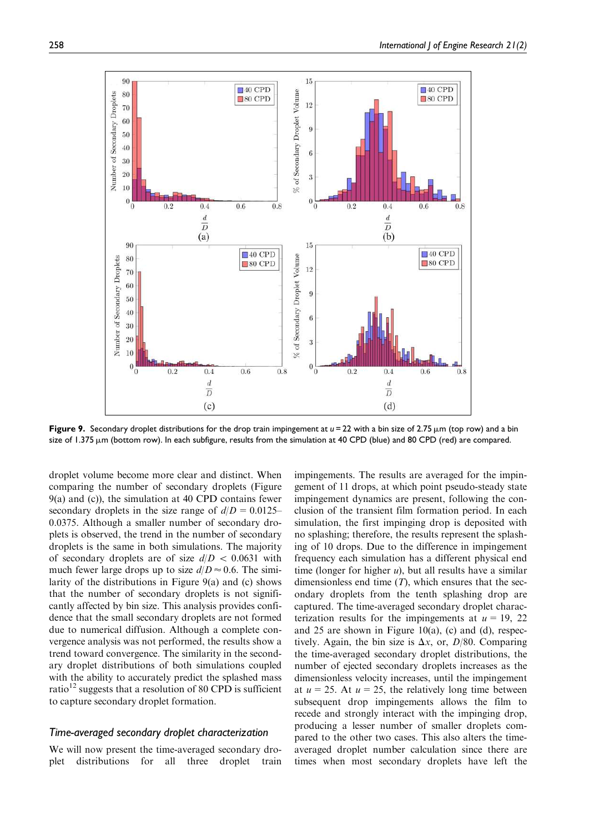

Figure 9. Secondary droplet distributions for the drop train impingement at  $u = 22$  with a bin size of 2.75  $\mu$ m (top row) and a bin size of 1.375 µm (bottom row). In each subfigure, results from the simulation at 40 CPD (blue) and 80 CPD (red) are compared.

droplet volume become more clear and distinct. When comparing the number of secondary droplets (Figure 9(a) and (c)), the simulation at 40 CPD contains fewer secondary droplets in the size range of  $d/D = 0.0125-$ 0.0375. Although a smaller number of secondary droplets is observed, the trend in the number of secondary droplets is the same in both simulations. The majority of secondary droplets are of size  $d/D < 0.0631$  with much fewer large drops up to size  $d/D \approx 0.6$ . The similarity of the distributions in Figure 9(a) and (c) shows that the number of secondary droplets is not significantly affected by bin size. This analysis provides confidence that the small secondary droplets are not formed due to numerical diffusion. Although a complete convergence analysis was not performed, the results show a trend toward convergence. The similarity in the secondary droplet distributions of both simulations coupled with the ability to accurately predict the splashed mass ratio<sup>12</sup> suggests that a resolution of 80 CPD is sufficient to capture secondary droplet formation.

## *Time-averaged secondary droplet characterization*

We will now present the time-averaged secondary droplet distributions for all three droplet train impingements. The results are averaged for the impingement of 11 drops, at which point pseudo-steady state impingement dynamics are present, following the conclusion of the transient film formation period. In each simulation, the first impinging drop is deposited with no splashing; therefore, the results represent the splashing of 10 drops. Due to the difference in impingement frequency each simulation has a different physical end time (longer for higher  $u$ ), but all results have a similar dimensionless end time  $(T)$ , which ensures that the secondary droplets from the tenth splashing drop are captured. The time-averaged secondary droplet characterization results for the impingements at  $u = 19$ , 22 and 25 are shown in Figure 10(a), (c) and (d), respectively. Again, the bin size is  $\Delta x$ , or,  $D/80$ . Comparing the time-averaged secondary droplet distributions, the number of ejected secondary droplets increases as the dimensionless velocity increases, until the impingement at  $u = 25$ . At  $u = 25$ , the relatively long time between subsequent drop impingements allows the film to recede and strongly interact with the impinging drop, producing a lesser number of smaller droplets compared to the other two cases. This also alters the timeaveraged droplet number calculation since there are times when most secondary droplets have left the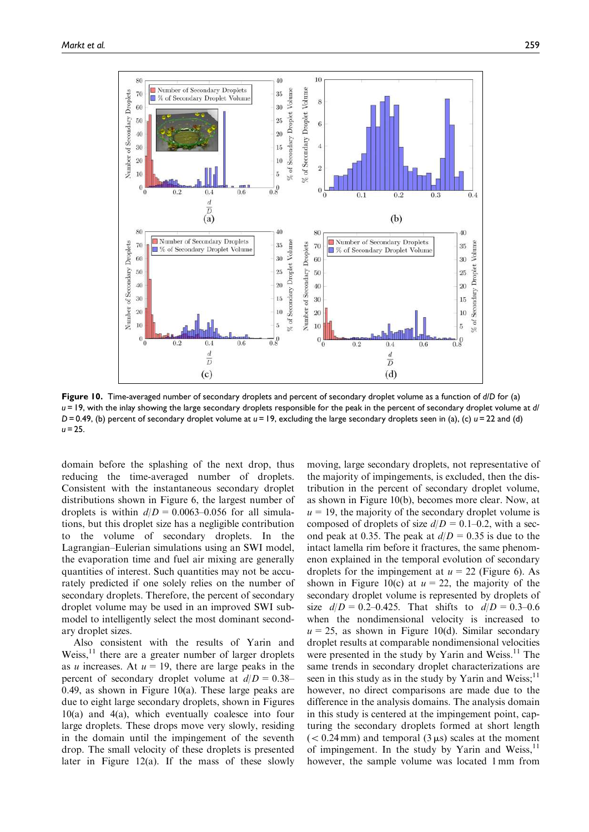

Figure 10. Time-averaged number of secondary droplets and percent of secondary droplet volume as a function of *d*/*D* for (a) *u* = 19, with the inlay showing the large secondary droplets responsible for the peak in the percent of secondary droplet volume at *d*/ *D* = 0.49, (b) percent of secondary droplet volume at *u* = 19, excluding the large secondary droplets seen in (a), (c) *u* = 22 and (d)  $u = 25$ 

domain before the splashing of the next drop, thus reducing the time-averaged number of droplets. Consistent with the instantaneous secondary droplet distributions shown in Figure 6, the largest number of droplets is within  $d/D = 0.0063{\text -}0.056$  for all simulations, but this droplet size has a negligible contribution to the volume of secondary droplets. In the Lagrangian–Eulerian simulations using an SWI model, the evaporation time and fuel air mixing are generally quantities of interest. Such quantities may not be accurately predicted if one solely relies on the number of secondary droplets. Therefore, the percent of secondary droplet volume may be used in an improved SWI submodel to intelligently select the most dominant secondary droplet sizes.

Also consistent with the results of Yarin and Weiss, $^{11}$  there are a greater number of larger droplets as u increases. At  $u = 19$ , there are large peaks in the percent of secondary droplet volume at  $d/D = 0.38$ – 0.49, as shown in Figure 10(a). These large peaks are due to eight large secondary droplets, shown in Figures 10(a) and 4(a), which eventually coalesce into four large droplets. These drops move very slowly, residing in the domain until the impingement of the seventh drop. The small velocity of these droplets is presented later in Figure 12(a). If the mass of these slowly moving, large secondary droplets, not representative of the majority of impingements, is excluded, then the distribution in the percent of secondary droplet volume, as shown in Figure 10(b), becomes more clear. Now, at  $u = 19$ , the majority of the secondary droplet volume is composed of droplets of size  $d/D = 0.1–0.2$ , with a second peak at 0.35. The peak at  $d/D = 0.35$  is due to the intact lamella rim before it fractures, the same phenomenon explained in the temporal evolution of secondary droplets for the impingement at  $u = 22$  (Figure 6). As shown in Figure 10(c) at  $u = 22$ , the majority of the secondary droplet volume is represented by droplets of size  $d/D = 0.2{\text -}0.425$ . That shifts to  $d/D = 0.3{\text -}0.6$ when the nondimensional velocity is increased to  $u = 25$ , as shown in Figure 10(d). Similar secondary droplet results at comparable nondimensional velocities were presented in the study by Yarin and Weiss.<sup>11</sup> The same trends in secondary droplet characterizations are seen in this study as in the study by Yarin and Weiss;<sup>11</sup> however, no direct comparisons are made due to the difference in the analysis domains. The analysis domain in this study is centered at the impingement point, capturing the secondary droplets formed at short length  $(< 0.24$  mm) and temporal  $(3 \mu s)$  scales at the moment of impingement. In the study by Yarin and Weiss, $^{11}$ however, the sample volume was located 1 mm from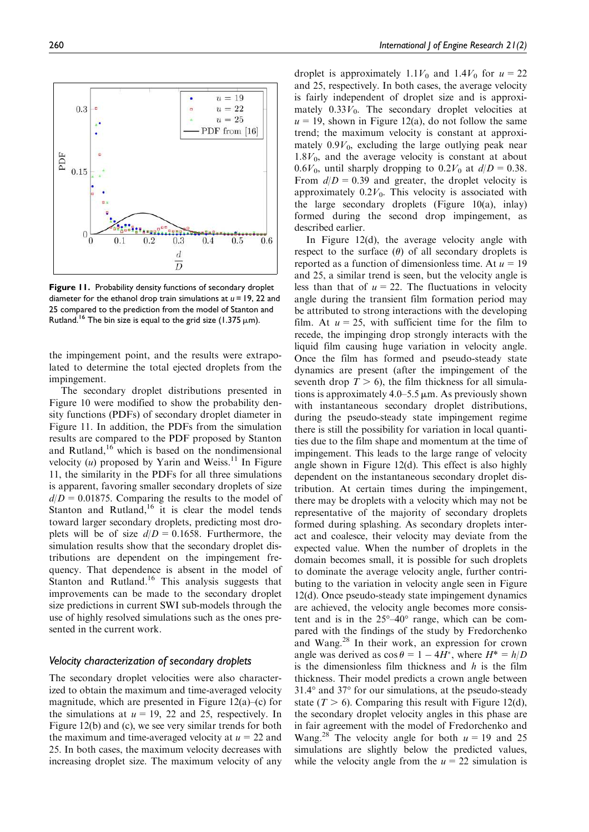

Figure 11. Probability density functions of secondary droplet diameter for the ethanol drop train simulations at *u* = 19, 22 and 25 compared to the prediction from the model of Stanton and Rutland.<sup>16</sup> The bin size is equal to the grid size (1.375  $\mu$ m).

the impingement point, and the results were extrapolated to determine the total ejected droplets from the impingement.

The secondary droplet distributions presented in Figure 10 were modified to show the probability density functions (PDFs) of secondary droplet diameter in Figure 11. In addition, the PDFs from the simulation results are compared to the PDF proposed by Stanton and Rutland, $16$  which is based on the nondimensional velocity  $(u)$  proposed by Yarin and Weiss.<sup>11</sup> In Figure 11, the similarity in the PDFs for all three simulations is apparent, favoring smaller secondary droplets of size  $d/D = 0.01875$ . Comparing the results to the model of Stanton and Rutland, $16$  it is clear the model tends toward larger secondary droplets, predicting most droplets will be of size  $d/D = 0.1658$ . Furthermore, the simulation results show that the secondary droplet distributions are dependent on the impingement frequency. That dependence is absent in the model of Stanton and Rutland.<sup>16</sup> This analysis suggests that improvements can be made to the secondary droplet size predictions in current SWI sub-models through the use of highly resolved simulations such as the ones presented in the current work.

## *Velocity characterization of secondary droplets*

The secondary droplet velocities were also characterized to obtain the maximum and time-averaged velocity magnitude, which are presented in Figure  $12(a)$ –(c) for the simulations at  $u = 19$ , 22 and 25, respectively. In Figure 12(b) and (c), we see very similar trends for both the maximum and time-averaged velocity at  $u = 22$  and 25. In both cases, the maximum velocity decreases with increasing droplet size. The maximum velocity of any

droplet is approximately 1.1 $V_0$  and 1.4 $V_0$  for  $u=22$ and 25, respectively. In both cases, the average velocity is fairly independent of droplet size and is approximately  $0.33V_0$ . The secondary droplet velocities at  $u = 19$ , shown in Figure 12(a), do not follow the same trend; the maximum velocity is constant at approximately  $0.9V_0$ , excluding the large outlying peak near  $1.8V_0$ , and the average velocity is constant at about 0.6 $V_0$ , until sharply dropping to 0.2 $V_0$  at  $d/D = 0.38$ . From  $d/D = 0.39$  and greater, the droplet velocity is approximately  $0.2V_0$ . This velocity is associated with the large secondary droplets (Figure 10(a), inlay) formed during the second drop impingement, as described earlier.

In Figure 12(d), the average velocity angle with respect to the surface  $(\theta)$  of all secondary droplets is reported as a function of dimensionless time. At  $u = 19$ and 25, a similar trend is seen, but the velocity angle is less than that of  $u = 22$ . The fluctuations in velocity angle during the transient film formation period may be attributed to strong interactions with the developing film. At  $u = 25$ , with sufficient time for the film to recede, the impinging drop strongly interacts with the liquid film causing huge variation in velocity angle. Once the film has formed and pseudo-steady state dynamics are present (after the impingement of the seventh drop  $T > 6$ ), the film thickness for all simulations is approximately  $4.0-5.5 \mu m$ . As previously shown with instantaneous secondary droplet distributions, during the pseudo-steady state impingement regime there is still the possibility for variation in local quantities due to the film shape and momentum at the time of impingement. This leads to the large range of velocity angle shown in Figure 12(d). This effect is also highly dependent on the instantaneous secondary droplet distribution. At certain times during the impingement, there may be droplets with a velocity which may not be representative of the majority of secondary droplets formed during splashing. As secondary droplets interact and coalesce, their velocity may deviate from the expected value. When the number of droplets in the domain becomes small, it is possible for such droplets to dominate the average velocity angle, further contributing to the variation in velocity angle seen in Figure 12(d). Once pseudo-steady state impingement dynamics are achieved, the velocity angle becomes more consistent and is in the  $25^{\circ} - 40^{\circ}$  range, which can be compared with the findings of the study by Fredorchenko and Wang.<sup>28</sup> In their work, an expression for crown angle was derived as  $\cos \theta = 1 - 4H^*$ , where  $H^* = h/D$ is the dimensionless film thickness and  $h$  is the film thickness. Their model predicts a crown angle between  $31.4^\circ$  and  $37^\circ$  for our simulations, at the pseudo-steady state ( $T > 6$ ). Comparing this result with Figure 12(d), the secondary droplet velocity angles in this phase are in fair agreement with the model of Fredorchenko and Wang.<sup>28</sup> The velocity angle for both  $u = 19$  and 25 simulations are slightly below the predicted values, while the velocity angle from the  $u = 22$  simulation is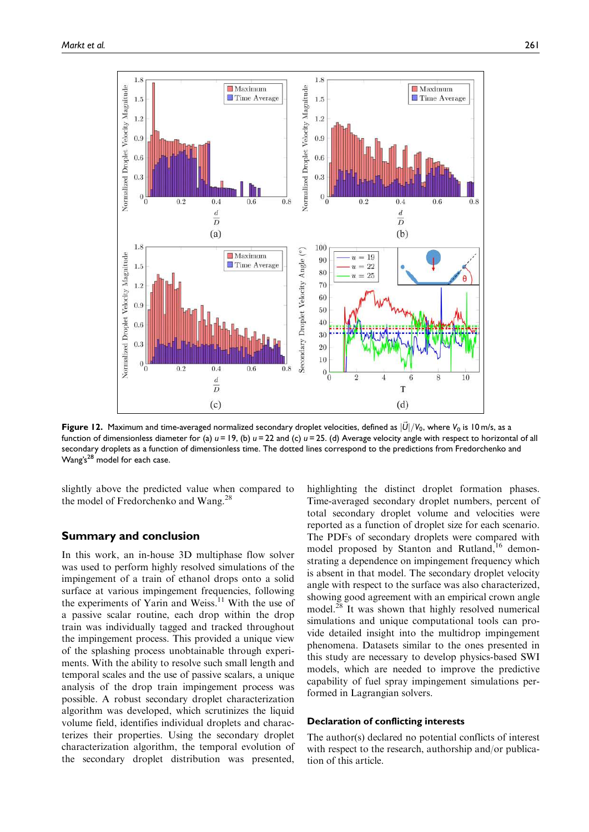

**Figure 12.** Maximum and time-averaged normalized secondary droplet velocities, defined as  $|\vec{U}|/V_0$ , where  $V_0$  is 10 m/s, as a function of dimensionless diameter for (a) *u* = 19, (b) *u* = 22 and (c) *u* = 25. (d) Average velocity angle with respect to horizontal of all secondary droplets as a function of dimensionless time. The dotted lines correspond to the predictions from Fredorchenko and Wang's<sup>28</sup> model for each case.

slightly above the predicted value when compared to the model of Fredorchenko and Wang.<sup>28</sup>

## Summary and conclusion

In this work, an in-house 3D multiphase flow solver was used to perform highly resolved simulations of the impingement of a train of ethanol drops onto a solid surface at various impingement frequencies, following the experiments of Yarin and Weiss.<sup>11</sup> With the use of a passive scalar routine, each drop within the drop train was individually tagged and tracked throughout the impingement process. This provided a unique view of the splashing process unobtainable through experiments. With the ability to resolve such small length and temporal scales and the use of passive scalars, a unique analysis of the drop train impingement process was possible. A robust secondary droplet characterization algorithm was developed, which scrutinizes the liquid volume field, identifies individual droplets and characterizes their properties. Using the secondary droplet characterization algorithm, the temporal evolution of the secondary droplet distribution was presented, highlighting the distinct droplet formation phases. Time-averaged secondary droplet numbers, percent of total secondary droplet volume and velocities were reported as a function of droplet size for each scenario. The PDFs of secondary droplets were compared with model proposed by Stanton and Rutland,<sup>16</sup> demonstrating a dependence on impingement frequency which is absent in that model. The secondary droplet velocity angle with respect to the surface was also characterized, showing good agreement with an empirical crown angle model.<sup>28</sup> It was shown that highly resolved numerical simulations and unique computational tools can provide detailed insight into the multidrop impingement phenomena. Datasets similar to the ones presented in this study are necessary to develop physics-based SWI models, which are needed to improve the predictive capability of fuel spray impingement simulations performed in Lagrangian solvers.

#### Declaration of conflicting interests

The author(s) declared no potential conflicts of interest with respect to the research, authorship and/or publication of this article.